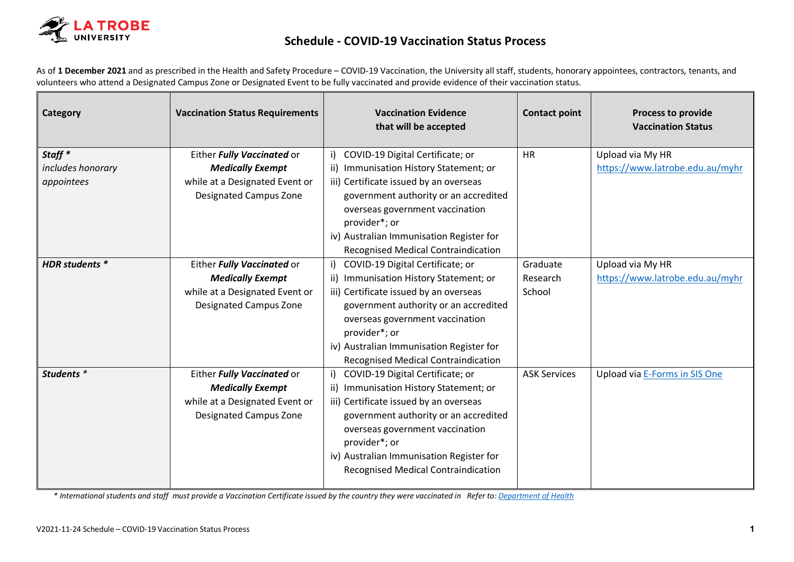

## **Schedule - COVID-19 Vaccination Status Process**

As of **1 December 2021** and as prescribed in the Health and Safety Procedure – COVID-19 Vaccination, the University all staff, students, honorary appointees, contractors, tenants, and volunteers who attend a Designated Campus Zone or Designated Event to be fully vaccinated and provide evidence of their vaccination status.

| Category                                | <b>Vaccination Status Requirements</b>                                                                                   | <b>Vaccination Evidence</b><br>that will be accepted                                                                                                                                                                                                                                                           | <b>Contact point</b>           | <b>Process to provide</b><br><b>Vaccination Status</b> |
|-----------------------------------------|--------------------------------------------------------------------------------------------------------------------------|----------------------------------------------------------------------------------------------------------------------------------------------------------------------------------------------------------------------------------------------------------------------------------------------------------------|--------------------------------|--------------------------------------------------------|
| Staff <sup>*</sup><br>includes honorary | Either Fully Vaccinated or<br><b>Medically Exempt</b>                                                                    | i) COVID-19 Digital Certificate; or<br>ii) Immunisation History Statement; or                                                                                                                                                                                                                                  | <b>HR</b>                      | Upload via My HR<br>https://www.latrobe.edu.au/myhr    |
| appointees                              | while at a Designated Event or<br><b>Designated Campus Zone</b>                                                          | iii) Certificate issued by an overseas<br>government authority or an accredited<br>overseas government vaccination<br>provider*; or<br>iv) Australian Immunisation Register for<br><b>Recognised Medical Contraindication</b>                                                                                  |                                |                                                        |
| HDR students *                          | Either Fully Vaccinated or<br><b>Medically Exempt</b><br>while at a Designated Event or<br>Designated Campus Zone        | i) COVID-19 Digital Certificate; or<br>ii) Immunisation History Statement; or<br>iii) Certificate issued by an overseas<br>government authority or an accredited<br>overseas government vaccination<br>provider*; or<br>iv) Australian Immunisation Register for<br><b>Recognised Medical Contraindication</b> | Graduate<br>Research<br>School | Upload via My HR<br>https://www.latrobe.edu.au/myhr    |
| Students *                              | Either Fully Vaccinated or<br><b>Medically Exempt</b><br>while at a Designated Event or<br><b>Designated Campus Zone</b> | i) COVID-19 Digital Certificate; or<br>ii) Immunisation History Statement; or<br>iii) Certificate issued by an overseas<br>government authority or an accredited<br>overseas government vaccination<br>provider*; or<br>iv) Australian Immunisation Register for<br><b>Recognised Medical Contraindication</b> | <b>ASK Services</b>            | Upload via E-Forms in SIS One                          |

*\* International students and staff must provide a Vaccination Certificate issued by the country they were vaccinated in Refer to[: Department of Health](https://www.health.gov.au/news/health-alerts/novel-coronavirus-2019-ncov-health-alert/coronavirus-covid-19-travel-and-restrictions/international-travel-and-covid-19#Approved%20and%20recognised%20vaccines)*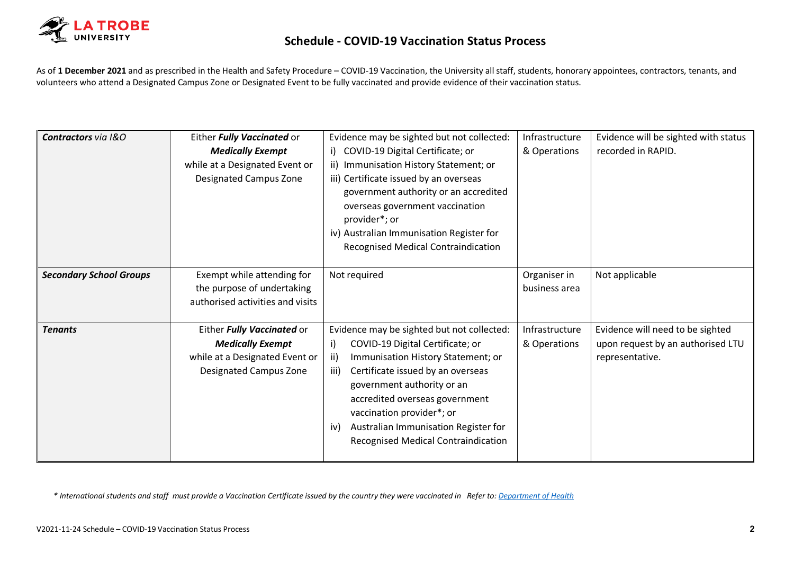

As of **1 December 2021** and as prescribed in the Health and Safety Procedure – COVID-19 Vaccination, the University all staff, students, honorary appointees, contractors, tenants, and volunteers who attend a Designated Campus Zone or Designated Event to be fully vaccinated and provide evidence of their vaccination status.

| Contractors via I&O            | Either Fully Vaccinated or       | Evidence may be sighted but not collected:  | Infrastructure | Evidence will be sighted with status |
|--------------------------------|----------------------------------|---------------------------------------------|----------------|--------------------------------------|
|                                | <b>Medically Exempt</b>          | i) COVID-19 Digital Certificate; or         | & Operations   | recorded in RAPID.                   |
|                                | while at a Designated Event or   | ii) Immunisation History Statement; or      |                |                                      |
|                                | <b>Designated Campus Zone</b>    | iii) Certificate issued by an overseas      |                |                                      |
|                                |                                  | government authority or an accredited       |                |                                      |
|                                |                                  | overseas government vaccination             |                |                                      |
|                                |                                  | provider*; or                               |                |                                      |
|                                |                                  | iv) Australian Immunisation Register for    |                |                                      |
|                                |                                  | <b>Recognised Medical Contraindication</b>  |                |                                      |
|                                |                                  |                                             |                |                                      |
| <b>Secondary School Groups</b> | Exempt while attending for       | Not required                                | Organiser in   | Not applicable                       |
|                                | the purpose of undertaking       |                                             | business area  |                                      |
|                                | authorised activities and visits |                                             |                |                                      |
|                                |                                  |                                             |                |                                      |
| <b>Tenants</b>                 | Either Fully Vaccinated or       | Evidence may be sighted but not collected:  | Infrastructure | Evidence will need to be sighted     |
|                                | <b>Medically Exempt</b>          | COVID-19 Digital Certificate; or<br>i)      | & Operations   | upon request by an authorised LTU    |
|                                | while at a Designated Event or   | Immunisation History Statement; or<br>ii)   |                | representative.                      |
|                                | <b>Designated Campus Zone</b>    | Certificate issued by an overseas<br>iii)   |                |                                      |
|                                |                                  | government authority or an                  |                |                                      |
|                                |                                  | accredited overseas government              |                |                                      |
|                                |                                  | vaccination provider*; or                   |                |                                      |
|                                |                                  | Australian Immunisation Register for<br>iv) |                |                                      |
|                                |                                  | <b>Recognised Medical Contraindication</b>  |                |                                      |
|                                |                                  |                                             |                |                                      |

*\* International students and staff must provide a Vaccination Certificate issued by the country they were vaccinated in Refer to[: Department of Health](https://www.health.gov.au/news/health-alerts/novel-coronavirus-2019-ncov-health-alert/coronavirus-covid-19-travel-and-restrictions/international-travel-and-covid-19#Approved%20and%20recognised%20vaccines)*